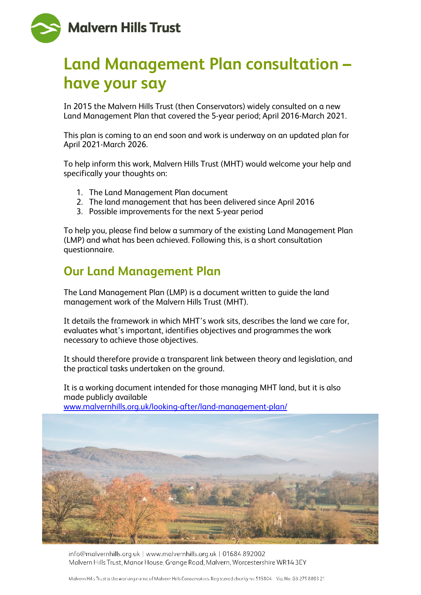

# **Land Management Plan consultation – have your say**

In 2015 the Malvern Hills Trust (then Conservators) widely consulted on a new Land Management Plan that covered the 5-year period; April 2016-March 2021.

This plan is coming to an end soon and work is underway on an updated plan for April 2021-March 2026.

To help inform this work, Malvern Hills Trust (MHT) would welcome your help and specifically your thoughts on:

- 1. The Land Management Plan document
- 2. The land management that has been delivered since April 2016
- 3. Possible improvements for the next 5-year period

To help you, please find below a summary of the existing Land Management Plan (LMP) and what has been achieved. Following this, is a short consultation questionnaire.

### **Our Land Management Plan**

The Land Management Plan (LMP) is a document written to guide the land management work of the Malvern Hills Trust (MHT).

It details the framework in which MHT's work sits, describes the land we care for, evaluates what's important, identifies objectives and programmes the work necessary to achieve those objectives.

It should therefore provide a transparent link between theory and legislation, and the practical tasks undertaken on the ground.

It is a working document intended for those managing MHT land, but it is also made publicly available [www.malvernhills.org.uk/looking-after/land-management-plan/](http://www.malvernhills.org.uk/looking-after/land-management-plan/)



info@malvernhills.org.uk | www.malvernhills.org.uk | 01684 892002 Malvern Hills Trust, Manor House, Grange Road, Malvern, Worcestershire WR14 3EY

Malvern Hills Trust is the working name of Malvern Hills Conservators. Registered charity no.515804. Vat No. GB 275 8803 21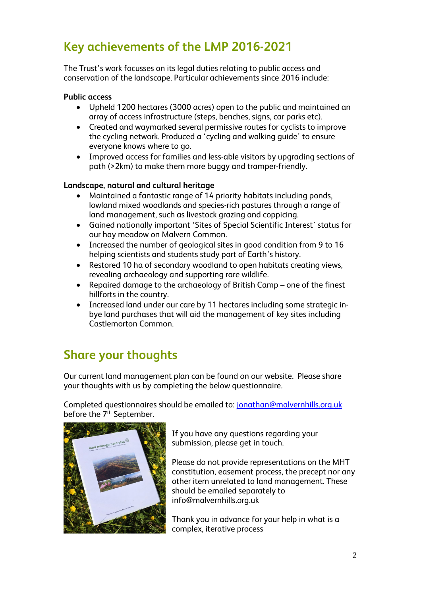## **Key achievements of the LMP 2016-2021**

The Trust's work focusses on its legal duties relating to public access and conservation of the landscape. Particular achievements since 2016 include:

#### **Public access**

- Upheld 1200 hectares (3000 acres) open to the public and maintained an array of access infrastructure (steps, benches, signs, car parks etc).
- Created and waymarked several permissive routes for cyclists to improve the cycling network. Produced a 'cycling and walking guide' to ensure everyone knows where to go.
- Improved access for families and less-able visitors by upgrading sections of path (>2km) to make them more buggy and tramper-friendly.

#### **Landscape, natural and cultural heritage**

- Maintained a fantastic range of 14 priority habitats including ponds, lowland mixed woodlands and species-rich pastures through a range of land management, such as livestock grazing and coppicing.
- Gained nationally important 'Sites of Special Scientific Interest' status for our hay meadow on Malvern Common.
- Increased the number of geological sites in good condition from 9 to 16 helping scientists and students study part of Earth's history.
- Restored 10 ha of secondary woodland to open habitats creating views, revealing archaeology and supporting rare wildlife.
- Repaired damage to the archaeology of British Camp one of the finest hillforts in the country.
- Increased land under our care by 11 hectares including some strategic inbye land purchases that will aid the management of key sites including Castlemorton Common.

### **Share your thoughts**

Our current land management plan can be found on our website. Please share your thoughts with us by completing the below questionnaire.

Completed questionnaires should be emailed to: [jonathan@malvernhills.org.uk](mailto:jonathan@malvernhills.org.uk) before the 7<sup>th</sup> September.



If you have any questions regarding your submission, please get in touch.

Please do not provide representations on the MHT constitution, easement process, the precept nor any other item unrelated to land management. These should be emailed separately to info@malvernhills.org.uk

Thank you in advance for your help in what is a complex, iterative process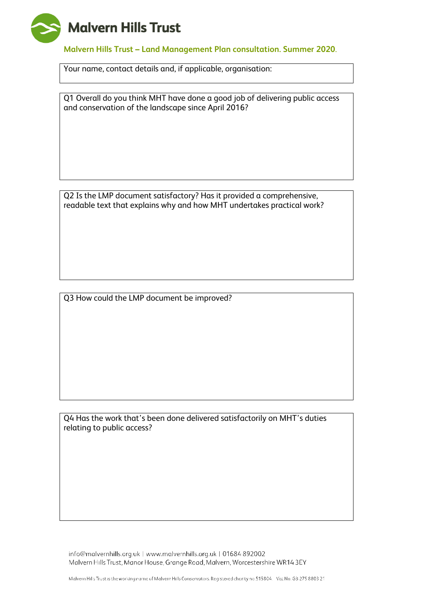

**Malvern Hills Trust – Land Management Plan consultation. Summer 2020**.

Your name, contact details and, if applicable, organisation:

Q1 Overall do you think MHT have done a good job of delivering public access and conservation of the landscape since April 2016?

Q2 Is the LMP document satisfactory? Has it provided a comprehensive, readable text that explains why and how MHT undertakes practical work?

Q3 How could the LMP document be improved?

Q4 Has the work that's been done delivered satisfactorily on MHT's duties relating to public access?

info@malvernhills.org.uk | www.malvernhills.org.uk | 01684 892002 Malvern Hills Trust, Manor House, Grange Road, Malvern, Worcestershire WR14 3EY